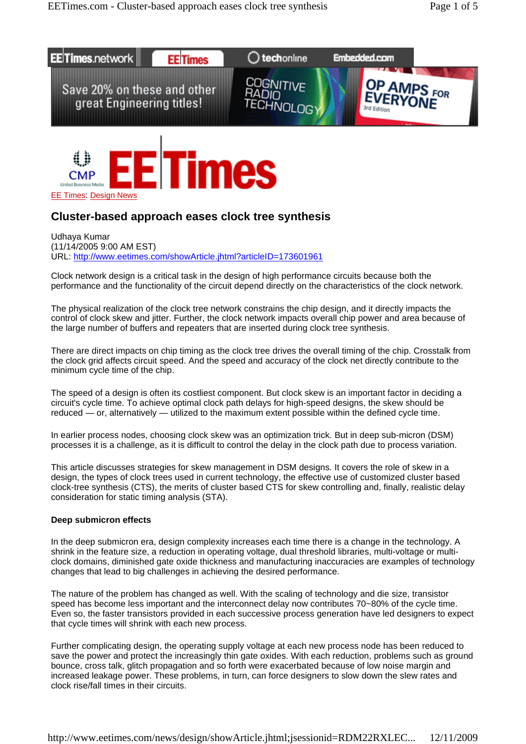



# **Cluster-based approach eases clock tree synthesis**

Udhaya Kumar (11/14/2005 9:00 AM EST) URL: http://www.eetimes.com/showArticle.jhtml?articleID=173601961

Clock network design is a critical task in the design of high performance circuits because both the performance and the functionality of the circuit depend directly on the characteristics of the clock network.

The physical realization of the clock tree network constrains the chip design, and it directly impacts the control of clock skew and jitter. Further, the clock network impacts overall chip power and area because of the large number of buffers and repeaters that are inserted during clock tree synthesis.

There are direct impacts on chip timing as the clock tree drives the overall timing of the chip. Crosstalk from the clock grid affects circuit speed. And the speed and accuracy of the clock net directly contribute to the minimum cycle time of the chip.

The speed of a design is often its costliest component. But clock skew is an important factor in deciding a circuit's cycle time. To achieve optimal clock path delays for high-speed designs, the skew should be reduced — or, alternatively — utilized to the maximum extent possible within the defined cycle time.

In earlier process nodes, choosing clock skew was an optimization trick. But in deep sub-micron (DSM) processes it is a challenge, as it is difficult to control the delay in the clock path due to process variation.

This article discusses strategies for skew management in DSM designs. It covers the role of skew in a design, the types of clock trees used in current technology, the effective use of customized cluster based clock-tree synthesis (CTS), the merits of cluster based CTS for skew controlling and, finally, realistic delay consideration for static timing analysis (STA).

## **Deep submicron effects**

In the deep submicron era, design complexity increases each time there is a change in the technology. A shrink in the feature size, a reduction in operating voltage, dual threshold libraries, multi-voltage or multiclock domains, diminished gate oxide thickness and manufacturing inaccuracies are examples of technology changes that lead to big challenges in achieving the desired performance.

The nature of the problem has changed as well. With the scaling of technology and die size, transistor speed has become less important and the interconnect delay now contributes 70~80% of the cycle time. Even so, the faster transistors provided in each successive process generation have led designers to expect that cycle times will shrink with each new process.

Further complicating design, the operating supply voltage at each new process node has been reduced to save the power and protect the increasingly thin gate oxides. With each reduction, problems such as ground bounce, cross talk, glitch propagation and so forth were exacerbated because of low noise margin and increased leakage power. These problems, in turn, can force designers to slow down the slew rates and clock rise/fall times in their circuits.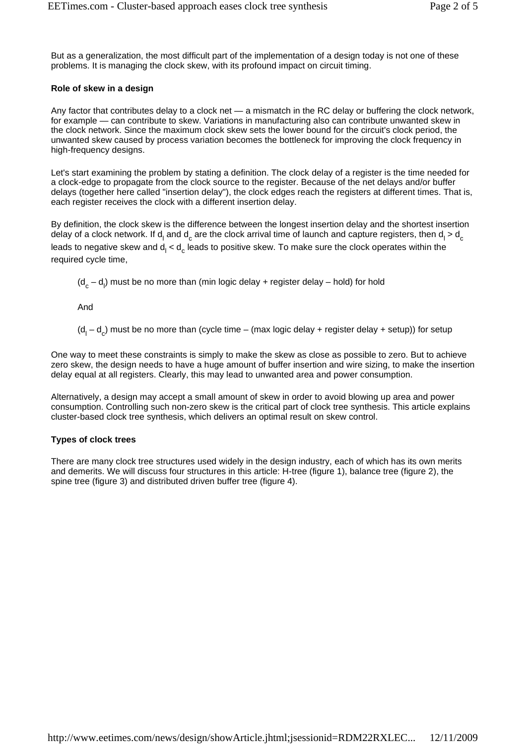But as a generalization, the most difficult part of the implementation of a design today is not one of these problems. It is managing the clock skew, with its profound impact on circuit timing.

# **Role of skew in a design**

Any factor that contributes delay to a clock net — a mismatch in the RC delay or buffering the clock network, for example — can contribute to skew. Variations in manufacturing also can contribute unwanted skew in the clock network. Since the maximum clock skew sets the lower bound for the circuit's clock period, the unwanted skew caused by process variation becomes the bottleneck for improving the clock frequency in high-frequency designs.

Let's start examining the problem by stating a definition. The clock delay of a register is the time needed for a clock-edge to propagate from the clock source to the register. Because of the net delays and/or buffer delays (together here called "insertion delay"), the clock edges reach the registers at different times. That is, each register receives the clock with a different insertion delay.

By definition, the clock skew is the difference between the longest insertion delay and the shortest insertion delay of a clock network. If d<sub>l</sub> and d<sub>c</sub> are the clock arrival time of launch and capture registers, then d<sub>l</sub> > d<sub>c</sub> leads to negative skew and d<sub>l</sub> < d<sub>c</sub> leads to positive skew. To make sure the clock operates within the required cycle time,

 $(d_c - d_l)$  must be no more than (min logic delay + register delay – hold) for hold

And

 $(d_l - d_c)$  must be no more than (cycle time – (max logic delay + register delay + setup)) for setup

One way to meet these constraints is simply to make the skew as close as possible to zero. But to achieve zero skew, the design needs to have a huge amount of buffer insertion and wire sizing, to make the insertion delay equal at all registers. Clearly, this may lead to unwanted area and power consumption.

Alternatively, a design may accept a small amount of skew in order to avoid blowing up area and power consumption. Controlling such non-zero skew is the critical part of clock tree synthesis. This article explains cluster-based clock tree synthesis, which delivers an optimal result on skew control.

## **Types of clock trees**

There are many clock tree structures used widely in the design industry, each of which has its own merits and demerits. We will discuss four structures in this article: H-tree (figure 1), balance tree (figure 2), the spine tree (figure 3) and distributed driven buffer tree (figure 4).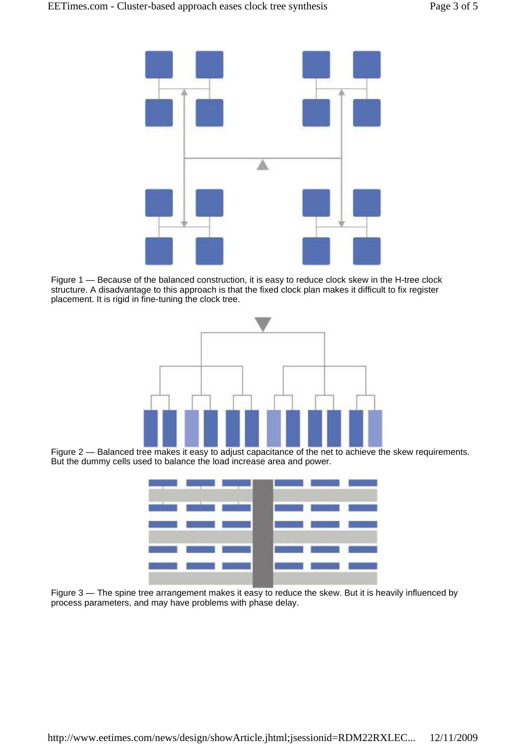

Figure 1 — Because of the balanced construction, it is easy to reduce clock skew in the H-tree clock structure. A disadvantage to this approach is that the fixed clock plan makes it difficult to fix register placement. It is rigid in fine-tuning the clock tree.



Figure 2 — Balanced tree makes it easy to adjust capacitance of the net to achieve the skew requirements. But the dummy cells used to balance the load increase area and power.

|                                                    |                                           |                                        | <u> Anglick School (1986), a shekara ta 1989 na shekara ta 1989 na shekara ta 1989 na shekara ta 1989 na shekara t</u> |                                                                                                                        |
|----------------------------------------------------|-------------------------------------------|----------------------------------------|------------------------------------------------------------------------------------------------------------------------|------------------------------------------------------------------------------------------------------------------------|
|                                                    |                                           |                                        | <u>in a tha ann an 19</u> an 19 an 19 an 19 an                                                                         |                                                                                                                        |
| the state of the state                             |                                           | <b>Controlled Bank Controlled Bank</b> |                                                                                                                        |                                                                                                                        |
|                                                    |                                           |                                        | a de anos de la filma de la contrada de                                                                                |                                                                                                                        |
| <b>The Company's Company's Company's Company's</b> | <b>The Contract of Contract of Street</b> | <b>Contract</b>                        |                                                                                                                        | <b>State of the Contract of the Contract of the Contract of the Contract of the Contract of the Contract of the Co</b> |
|                                                    |                                           |                                        |                                                                                                                        |                                                                                                                        |

Figure 3 — The spine tree arrangement makes it easy to reduce the skew. But it is heavily influenced by process parameters, and may have problems with phase delay.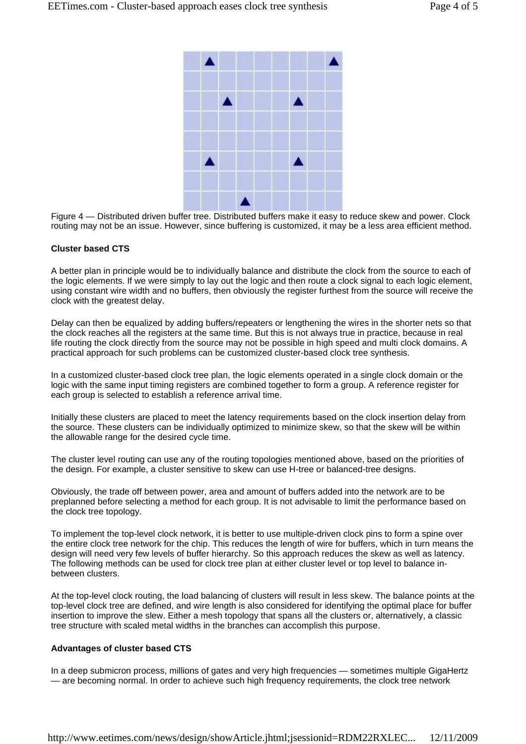

Figure 4 — Distributed driven buffer tree. Distributed buffers make it easy to reduce skew and power. Clock routing may not be an issue. However, since buffering is customized, it may be a less area efficient method.

#### **Cluster based CTS**

A better plan in principle would be to individually balance and distribute the clock from the source to each of the logic elements. If we were simply to lay out the logic and then route a clock signal to each logic element, using constant wire width and no buffers, then obviously the register furthest from the source will receive the clock with the greatest delay.

Delay can then be equalized by adding buffers/repeaters or lengthening the wires in the shorter nets so that the clock reaches all the registers at the same time. But this is not always true in practice, because in real life routing the clock directly from the source may not be possible in high speed and multi clock domains. A practical approach for such problems can be customized cluster-based clock tree synthesis.

In a customized cluster-based clock tree plan, the logic elements operated in a single clock domain or the logic with the same input timing registers are combined together to form a group. A reference register for each group is selected to establish a reference arrival time.

Initially these clusters are placed to meet the latency requirements based on the clock insertion delay from the source. These clusters can be individually optimized to minimize skew, so that the skew will be within the allowable range for the desired cycle time.

The cluster level routing can use any of the routing topologies mentioned above, based on the priorities of the design. For example, a cluster sensitive to skew can use H-tree or balanced-tree designs.

Obviously, the trade off between power, area and amount of buffers added into the network are to be preplanned before selecting a method for each group. It is not advisable to limit the performance based on the clock tree topology.

To implement the top-level clock network, it is better to use multiple-driven clock pins to form a spine over the entire clock tree network for the chip. This reduces the length of wire for buffers, which in turn means the design will need very few levels of buffer hierarchy. So this approach reduces the skew as well as latency. The following methods can be used for clock tree plan at either cluster level or top level to balance inbetween clusters.

At the top-level clock routing, the load balancing of clusters will result in less skew. The balance points at the top-level clock tree are defined, and wire length is also considered for identifying the optimal place for buffer insertion to improve the slew. Either a mesh topology that spans all the clusters or, alternatively, a classic tree structure with scaled metal widths in the branches can accomplish this purpose.

#### **Advantages of cluster based CTS**

In a deep submicron process, millions of gates and very high frequencies — sometimes multiple GigaHertz — are becoming normal. In order to achieve such high frequency requirements, the clock tree network